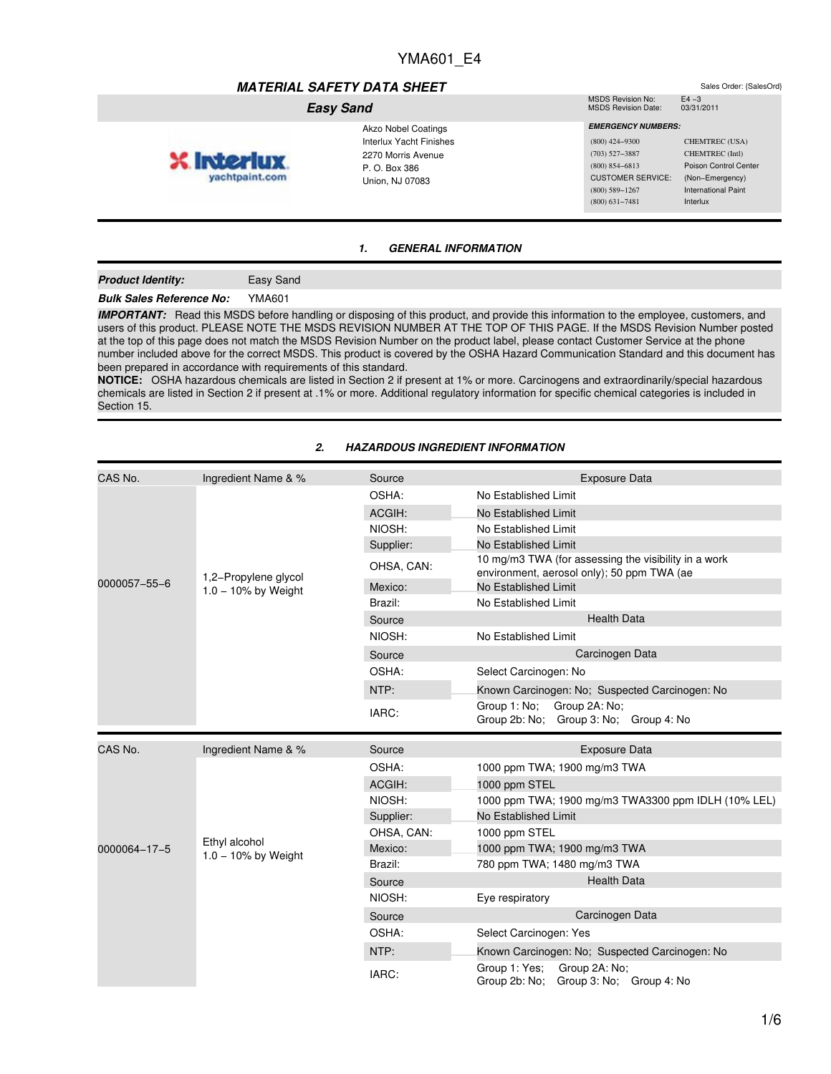# *MATERIAL SAFETY DATA SHEET*<br>MSDS Revision No: F4 –3

#### *Easy Sand*

- Akzo Nobel Coatings yachtpaint.com
	- Interlux Yacht Finishes 2270 Morris Avenue P. O. Box 386 Union, NJ 07083
- MSDS Revision No: E4 -3<br>MSDS Revision Date: 03/31/2011 MSDS Revision Date:
- *EMERGENCY NUMBERS:* (800) 424−9300 CHEMTREC (USA) (703) 527−3887 CHEMTREC (Intl) CUSTOMER SERVICE: (Non−Emergency) (800) 589−1267 International Paint

(800) 854−6813 Poison Control Center (800) 631−7481 Interlux

## *1. GENERAL INFORMATION*

#### *Product Identity:* Easy Sand

# *Bulk Sales Reference No:* YMA601

**X** Interlu

*IMPORTANT:* Read this MSDS before handling or disposing of this product, and provide this information to the employee, customers, and users of this product. PLEASE NOTE THE MSDS REVISION NUMBER AT THE TOP OF THIS PAGE. If the MSDS Revision Number posted at the top of this page does not match the MSDS Revision Number on the product label, please contact Customer Service at the phone number included above for the correct MSDS. This product is covered by the OSHA Hazard Communication Standard and this document has been prepared in accordance with requirements of this standard.

**NOTICE:** OSHA hazardous chemicals are listed in Section 2 if present at 1% or more. Carcinogens and extraordinarily/special hazardous chemicals are listed in Section 2 if present at .1% or more. Additional regulatory information for specific chemical categories is included in Section 15.

| CAS No.      | Ingredient Name & %                  | Source     | <b>Exposure Data</b>                                                                               |  |
|--------------|--------------------------------------|------------|----------------------------------------------------------------------------------------------------|--|
| 0000057-55-6 | 1,2-Propylene glycol                 | OSHA:      | No Established Limit                                                                               |  |
|              |                                      | ACGIH:     | No Established Limit                                                                               |  |
|              |                                      | NIOSH:     | No Established Limit                                                                               |  |
|              |                                      | Supplier:  | No Established Limit                                                                               |  |
|              |                                      | OHSA, CAN: | 10 mg/m3 TWA (for assessing the visibility in a work<br>environment, aerosol only); 50 ppm TWA (ae |  |
|              | $1.0 - 10\%$ by Weight               | Mexico:    | No Established Limit                                                                               |  |
|              |                                      | Brazil:    | No Established Limit                                                                               |  |
|              |                                      | Source     | <b>Health Data</b>                                                                                 |  |
|              |                                      | NIOSH:     | No Established Limit                                                                               |  |
|              |                                      | Source     | Carcinogen Data                                                                                    |  |
|              |                                      | OSHA:      | Select Carcinogen: No                                                                              |  |
|              |                                      | NTP:       | Known Carcinogen: No; Suspected Carcinogen: No                                                     |  |
|              |                                      | IARC:      | Group 1: No;<br>Group 2A: No;<br>Group 2b: No; Group 3: No; Group 4: No                            |  |
| CAS No.      | Ingredient Name & %                  | Source     | <b>Exposure Data</b>                                                                               |  |
|              |                                      | OSHA:      | 1000 ppm TWA; 1900 mg/m3 TWA                                                                       |  |
|              |                                      | ACGIH:     | 1000 ppm STEL                                                                                      |  |
|              |                                      | NIOSH:     | 1000 ppm TWA; 1900 mg/m3 TWA3300 ppm IDLH (10% LEL)                                                |  |
|              |                                      | Supplier:  | No Established Limit                                                                               |  |
|              |                                      | OHSA, CAN: | 1000 ppm STEL                                                                                      |  |
| 0000064-17-5 | Ethyl alcohol<br>1.0 - 10% by Weight | Mexico:    | 1000 ppm TWA; 1900 mg/m3 TWA                                                                       |  |
|              |                                      | Brazil:    | 780 ppm TWA; 1480 mg/m3 TWA                                                                        |  |
|              |                                      | Source     | <b>Health Data</b>                                                                                 |  |
|              |                                      | NIOSH:     | Eye respiratory                                                                                    |  |
|              |                                      | Source     | Carcinogen Data                                                                                    |  |
|              |                                      | OSHA:      | Select Carcinogen: Yes                                                                             |  |
|              |                                      | NTP:       | Known Carcinogen: No; Suspected Carcinogen: No                                                     |  |
|              |                                      | IARC:      | Group 1: Yes;<br>Group 2A: No;<br>Group 2b: No;<br>Group 3: No; Group 4: No                        |  |

#### *2. HAZARDOUS INGREDIENT INFORMATION*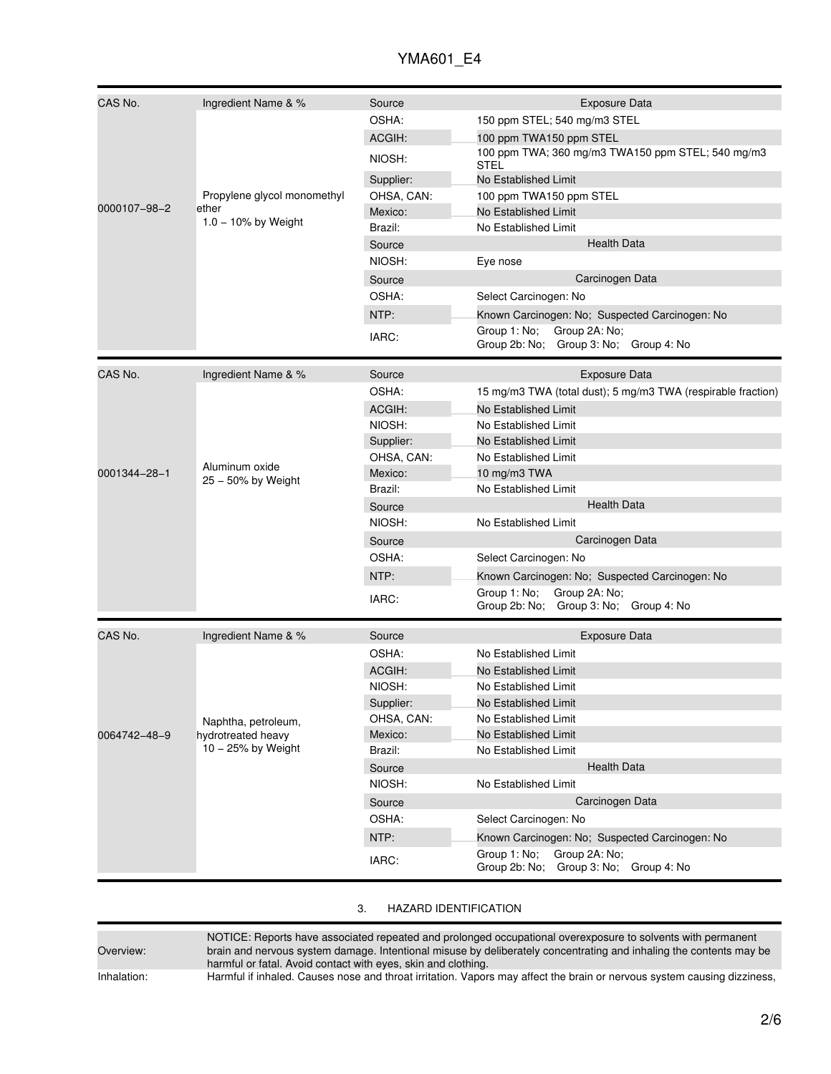| CAS No.      | Ingredient Name & %                                             | Source     | <b>Exposure Data</b>                                                    |  |
|--------------|-----------------------------------------------------------------|------------|-------------------------------------------------------------------------|--|
|              |                                                                 | OSHA:      | 150 ppm STEL; 540 mg/m3 STEL                                            |  |
|              |                                                                 | ACGIH:     | 100 ppm TWA150 ppm STEL                                                 |  |
|              |                                                                 | NIOSH:     | 100 ppm TWA; 360 mg/m3 TWA150 ppm STEL; 540 mg/m3<br><b>STEL</b>        |  |
|              |                                                                 | Supplier:  | No Established Limit                                                    |  |
|              | Propylene glycol monomethyl                                     | OHSA, CAN: | 100 ppm TWA150 ppm STEL                                                 |  |
| 0000107-98-2 | ether                                                           | Mexico:    | No Established Limit                                                    |  |
|              | $1.0 - 10\%$ by Weight                                          | Brazil:    | No Established Limit                                                    |  |
|              |                                                                 | Source     | <b>Health Data</b>                                                      |  |
|              |                                                                 | NIOSH:     | Eye nose                                                                |  |
|              |                                                                 | Source     | Carcinogen Data                                                         |  |
|              |                                                                 | OSHA:      | Select Carcinogen: No                                                   |  |
|              |                                                                 | NTP:       | Known Carcinogen: No; Suspected Carcinogen: No                          |  |
|              |                                                                 | IARC:      | Group 1: No;<br>Group 2A: No;<br>Group 2b: No; Group 3: No; Group 4: No |  |
|              |                                                                 |            |                                                                         |  |
| CAS No.      | Ingredient Name & %                                             | Source     | <b>Exposure Data</b>                                                    |  |
|              |                                                                 | OSHA:      | 15 mg/m3 TWA (total dust); 5 mg/m3 TWA (respirable fraction)            |  |
|              |                                                                 | ACGIH:     | No Established Limit                                                    |  |
|              |                                                                 | NIOSH:     | No Established Limit                                                    |  |
|              |                                                                 | Supplier:  | No Established Limit                                                    |  |
|              |                                                                 | OHSA, CAN: | No Established Limit                                                    |  |
| 0001344-28-1 | Aluminum oxide<br>25 - 50% by Weight                            | Mexico:    | 10 mg/m3 TWA                                                            |  |
|              |                                                                 | Brazil:    | No Established Limit                                                    |  |
|              |                                                                 | Source     | <b>Health Data</b>                                                      |  |
|              |                                                                 | NIOSH:     | No Established Limit                                                    |  |
|              |                                                                 | Source     | Carcinogen Data                                                         |  |
|              |                                                                 | OSHA:      | Select Carcinogen: No                                                   |  |
|              |                                                                 | NTP:       | Known Carcinogen: No; Suspected Carcinogen: No                          |  |
|              |                                                                 |            | Group 1: No;<br>Group 2A: No;                                           |  |
|              |                                                                 | IARC:      | Group 2b: No; Group 3: No; Group 4: No                                  |  |
| CAS No.      | Ingredient Name & %                                             | Source     | <b>Exposure Data</b>                                                    |  |
|              |                                                                 | OSHA:      | No Established Limit                                                    |  |
|              |                                                                 | ACGIH:     | No Established Limit                                                    |  |
|              |                                                                 | NIOSH:     | No Established Limit                                                    |  |
|              |                                                                 | Supplier:  | No Established Limit                                                    |  |
|              |                                                                 | OHSA, CAN: | No Established Limit                                                    |  |
| 0064742-48-9 | Naphtha, petroleum,<br>hydrotreated heavy<br>10 - 25% by Weight | Mexico:    | No Established Limit                                                    |  |
|              |                                                                 | Brazil:    | No Established Limit                                                    |  |
|              |                                                                 | Source     | <b>Health Data</b>                                                      |  |
|              |                                                                 | NIOSH:     | No Established Limit                                                    |  |
|              |                                                                 | Source     | Carcinogen Data                                                         |  |
|              |                                                                 | OSHA:      | Select Carcinogen: No                                                   |  |
|              |                                                                 |            |                                                                         |  |
|              |                                                                 | NTP:       | Known Carcinogen: No; Suspected Carcinogen: No                          |  |
|              |                                                                 | IARC:      | Group 1: No;<br>Group 2A: No;<br>Group 2b: No; Group 3: No; Group 4: No |  |

| ົ<br>ىك | <b>HAZARD IDENTIFICATION</b> |
|---------|------------------------------|
|         |                              |

Overview:

NOTICE: Reports have associated repeated and prolonged occupational overexposure to solvents with permanent brain and nervous system damage. Intentional misuse by deliberately concentrating and inhaling the contents may be harmful or fatal. Avoid contact with eyes, skin and clothing.

Inhalation: Harmful if inhaled. Causes nose and throat irritation. Vapors may affect the brain or nervous system causing dizziness,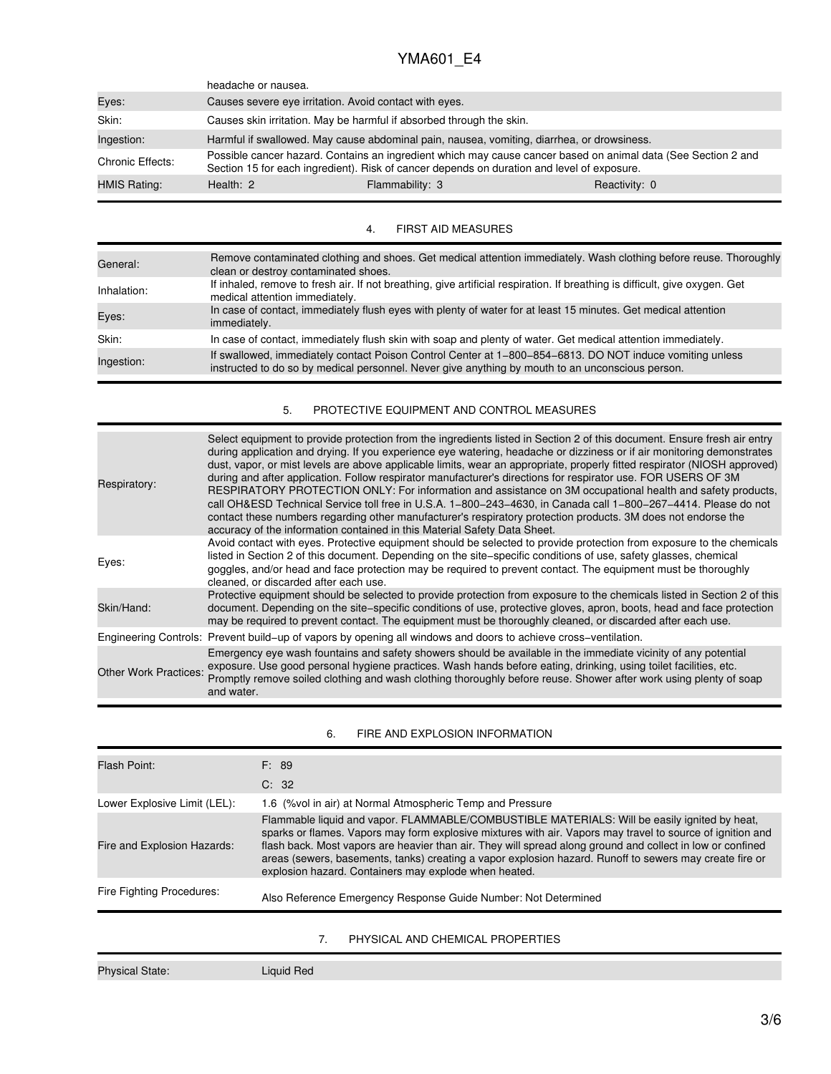|                  | headache or nausea.                                                                        |                                                                                                                                                                                                             |               |
|------------------|--------------------------------------------------------------------------------------------|-------------------------------------------------------------------------------------------------------------------------------------------------------------------------------------------------------------|---------------|
| Eyes:            | Causes severe eye irritation. Avoid contact with eyes.                                     |                                                                                                                                                                                                             |               |
| Skin:            |                                                                                            | Causes skin irritation. May be harmful if absorbed through the skin.                                                                                                                                        |               |
| Ingestion:       | Harmful if swallowed. May cause abdominal pain, nausea, vomiting, diarrhea, or drowsiness. |                                                                                                                                                                                                             |               |
| Chronic Effects: |                                                                                            | Possible cancer hazard. Contains an ingredient which may cause cancer based on animal data (See Section 2 and<br>Section 15 for each ingredient). Risk of cancer depends on duration and level of exposure. |               |
| HMIS Rating:     | Health: $2$                                                                                | Flammability: 3                                                                                                                                                                                             | Reactivity: 0 |
|                  |                                                                                            |                                                                                                                                                                                                             |               |

## 4. FIRST AID MEASURES

| General:    | Remove contaminated clothing and shoes. Get medical attention immediately. Wash clothing before reuse. Thoroughly<br>clean or destroy contaminated shoes.                                                    |
|-------------|--------------------------------------------------------------------------------------------------------------------------------------------------------------------------------------------------------------|
| Inhalation: | If inhaled, remove to fresh air. If not breathing, give artificial respiration. If breathing is difficult, give oxygen. Get<br>medical attention immediately.                                                |
| Eyes:       | In case of contact, immediately flush eyes with plenty of water for at least 15 minutes. Get medical attention<br>immediately.                                                                               |
| Skin:       | In case of contact, immediately flush skin with soap and plenty of water. Get medical attention immediately.                                                                                                 |
| Ingestion:  | If swallowed, immediately contact Poison Control Center at 1-800-854-6813. DO NOT induce vomiting unless<br>instructed to do so by medical personnel. Never give anything by mouth to an unconscious person. |

## 5. PROTECTIVE EQUIPMENT AND CONTROL MEASURES

| Respiratory:                 | Select equipment to provide protection from the ingredients listed in Section 2 of this document. Ensure fresh air entry<br>during application and drying. If you experience eye watering, headache or dizziness or if air monitoring demonstrates<br>dust, vapor, or mist levels are above applicable limits, wear an appropriate, properly fitted respirator (NIOSH approved)<br>during and after application. Follow respirator manufacturer's directions for respirator use. FOR USERS OF 3M<br>RESPIRATORY PROTECTION ONLY: For information and assistance on 3M occupational health and safety products,<br>call OH&ESD Technical Service toll free in U.S.A. 1-800-243-4630, in Canada call 1-800-267-4414. Please do not<br>contact these numbers regarding other manufacturer's respiratory protection products. 3M does not endorse the<br>accuracy of the information contained in this Material Safety Data Sheet. |
|------------------------------|--------------------------------------------------------------------------------------------------------------------------------------------------------------------------------------------------------------------------------------------------------------------------------------------------------------------------------------------------------------------------------------------------------------------------------------------------------------------------------------------------------------------------------------------------------------------------------------------------------------------------------------------------------------------------------------------------------------------------------------------------------------------------------------------------------------------------------------------------------------------------------------------------------------------------------|
| Eyes:                        | Avoid contact with eyes. Protective equipment should be selected to provide protection from exposure to the chemicals<br>listed in Section 2 of this document. Depending on the site–specific conditions of use, safety glasses, chemical<br>goggles, and/or head and face protection may be required to prevent contact. The equipment must be thoroughly<br>cleaned, or discarded after each use.                                                                                                                                                                                                                                                                                                                                                                                                                                                                                                                            |
| Skin/Hand:                   | Protective equipment should be selected to provide protection from exposure to the chemicals listed in Section 2 of this<br>document. Depending on the site–specific conditions of use, protective gloves, apron, boots, head and face protection<br>may be required to prevent contact. The equipment must be thoroughly cleaned, or discarded after each use.                                                                                                                                                                                                                                                                                                                                                                                                                                                                                                                                                                |
|                              | Engineering Controls: Prevent build–up of vapors by opening all windows and doors to achieve cross–ventilation.                                                                                                                                                                                                                                                                                                                                                                                                                                                                                                                                                                                                                                                                                                                                                                                                                |
| <b>Other Work Practices:</b> | Emergency eye wash fountains and safety showers should be available in the immediate vicinity of any potential<br>exposure. Use good personal hygiene practices. Wash hands before eating, drinking, using toilet facilities, etc.<br>Promptly remove soiled clothing and wash clothing thoroughly before reuse. Shower after work using plenty of soap<br>and water.                                                                                                                                                                                                                                                                                                                                                                                                                                                                                                                                                          |

## 6. FIRE AND EXPLOSION INFORMATION

| Flash Point:                 | F: 89<br>C: 32                                                                                                                                                                                                                                                                                                                                                                                                                                                                               |
|------------------------------|----------------------------------------------------------------------------------------------------------------------------------------------------------------------------------------------------------------------------------------------------------------------------------------------------------------------------------------------------------------------------------------------------------------------------------------------------------------------------------------------|
|                              |                                                                                                                                                                                                                                                                                                                                                                                                                                                                                              |
| Lower Explosive Limit (LEL): | 1.6 (% vol in air) at Normal Atmospheric Temp and Pressure                                                                                                                                                                                                                                                                                                                                                                                                                                   |
| Fire and Explosion Hazards:  | Flammable liquid and vapor. FLAMMABLE/COMBUSTIBLE MATERIALS: Will be easily ignited by heat,<br>sparks or flames. Vapors may form explosive mixtures with air. Vapors may travel to source of ignition and<br>flash back. Most vapors are heavier than air. They will spread along ground and collect in low or confined<br>areas (sewers, basements, tanks) creating a vapor explosion hazard. Runoff to sewers may create fire or<br>explosion hazard. Containers may explode when heated. |
| Fire Fighting Procedures:    | Also Reference Emergency Response Guide Number: Not Determined                                                                                                                                                                                                                                                                                                                                                                                                                               |
|                              | 7.<br>PHYSICAL AND CHEMICAL PROPERTIES                                                                                                                                                                                                                                                                                                                                                                                                                                                       |
|                              |                                                                                                                                                                                                                                                                                                                                                                                                                                                                                              |

Physical State: Liquid Red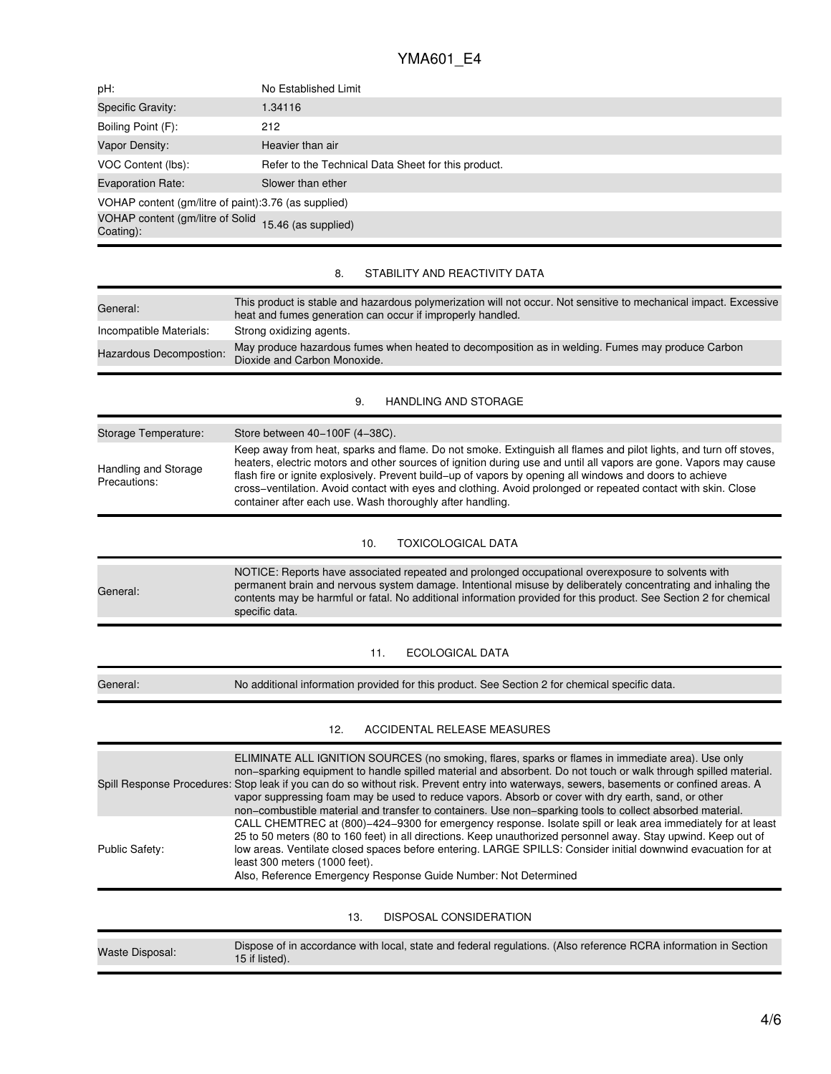| pH:                                                               | No Established Limit                                                                                                                                                                                                                                                                                                                                                                                                                                                                                                                                                                 |  |  |
|-------------------------------------------------------------------|--------------------------------------------------------------------------------------------------------------------------------------------------------------------------------------------------------------------------------------------------------------------------------------------------------------------------------------------------------------------------------------------------------------------------------------------------------------------------------------------------------------------------------------------------------------------------------------|--|--|
| Specific Gravity:                                                 | 1.34116                                                                                                                                                                                                                                                                                                                                                                                                                                                                                                                                                                              |  |  |
| Boiling Point (F):                                                | 212                                                                                                                                                                                                                                                                                                                                                                                                                                                                                                                                                                                  |  |  |
| Vapor Density:                                                    | Heavier than air                                                                                                                                                                                                                                                                                                                                                                                                                                                                                                                                                                     |  |  |
| VOC Content (lbs):                                                | Refer to the Technical Data Sheet for this product.                                                                                                                                                                                                                                                                                                                                                                                                                                                                                                                                  |  |  |
| <b>Evaporation Rate:</b>                                          | Slower than ether                                                                                                                                                                                                                                                                                                                                                                                                                                                                                                                                                                    |  |  |
| VOHAP content (gm/litre of paint):3.76 (as supplied)              |                                                                                                                                                                                                                                                                                                                                                                                                                                                                                                                                                                                      |  |  |
| VOHAP content (gm/litre of Solid 15.46 (as supplied)<br>Coating): |                                                                                                                                                                                                                                                                                                                                                                                                                                                                                                                                                                                      |  |  |
|                                                                   | STABILITY AND REACTIVITY DATA<br>8.                                                                                                                                                                                                                                                                                                                                                                                                                                                                                                                                                  |  |  |
| General:                                                          | This product is stable and hazardous polymerization will not occur. Not sensitive to mechanical impact. Excessive                                                                                                                                                                                                                                                                                                                                                                                                                                                                    |  |  |
| Incompatible Materials:                                           | heat and fumes generation can occur if improperly handled.<br>Strong oxidizing agents.                                                                                                                                                                                                                                                                                                                                                                                                                                                                                               |  |  |
| Hazardous Decompostion:                                           | May produce hazardous fumes when heated to decomposition as in welding. Fumes may produce Carbon<br>Dioxide and Carbon Monoxide.                                                                                                                                                                                                                                                                                                                                                                                                                                                     |  |  |
|                                                                   | 9.<br><b>HANDLING AND STORAGE</b>                                                                                                                                                                                                                                                                                                                                                                                                                                                                                                                                                    |  |  |
| Storage Temperature:                                              | Store between 40-100F (4-38C).                                                                                                                                                                                                                                                                                                                                                                                                                                                                                                                                                       |  |  |
|                                                                   | Keep away from heat, sparks and flame. Do not smoke. Extinguish all flames and pilot lights, and turn off stoves,                                                                                                                                                                                                                                                                                                                                                                                                                                                                    |  |  |
| Handling and Storage<br>Precautions:                              | heaters, electric motors and other sources of ignition during use and until all vapors are gone. Vapors may cause<br>flash fire or ignite explosively. Prevent build-up of vapors by opening all windows and doors to achieve<br>cross-ventilation. Avoid contact with eyes and clothing. Avoid prolonged or repeated contact with skin. Close<br>container after each use. Wash thoroughly after handling.                                                                                                                                                                          |  |  |
|                                                                   | <b>TOXICOLOGICAL DATA</b><br>10.                                                                                                                                                                                                                                                                                                                                                                                                                                                                                                                                                     |  |  |
| General:                                                          | NOTICE: Reports have associated repeated and prolonged occupational overexposure to solvents with<br>permanent brain and nervous system damage. Intentional misuse by deliberately concentrating and inhaling the<br>contents may be harmful or fatal. No additional information provided for this product. See Section 2 for chemical<br>specific data.                                                                                                                                                                                                                             |  |  |
|                                                                   | 11.<br>ECOLOGICAL DATA                                                                                                                                                                                                                                                                                                                                                                                                                                                                                                                                                               |  |  |
| General:                                                          | No additional information provided for this product. See Section 2 for chemical specific data.                                                                                                                                                                                                                                                                                                                                                                                                                                                                                       |  |  |
|                                                                   | ACCIDENTAL RELEASE MEASURES<br>12.                                                                                                                                                                                                                                                                                                                                                                                                                                                                                                                                                   |  |  |
|                                                                   | ELIMINATE ALL IGNITION SOURCES (no smoking, flares, sparks or flames in immediate area). Use only<br>non-sparking equipment to handle spilled material and absorbent. Do not touch or walk through spilled material.<br>Spill Response Procedures: Stop leak if you can do so without risk. Prevent entry into waterways, sewers, basements or confined areas. A<br>vapor suppressing foam may be used to reduce vapors. Absorb or cover with dry earth, sand, or other<br>non-combustible material and transfer to containers. Use non-sparking tools to collect absorbed material. |  |  |
| <b>Public Safety:</b>                                             | CALL CHEMTREC at (800)-424-9300 for emergency response. Isolate spill or leak area immediately for at least<br>25 to 50 meters (80 to 160 feet) in all directions. Keep unauthorized personnel away. Stay upwind. Keep out of<br>low areas. Ventilate closed spaces before entering. LARGE SPILLS: Consider initial downwind evacuation for at<br>least 300 meters (1000 feet).<br>Also, Reference Emergency Response Guide Number: Not Determined                                                                                                                                   |  |  |
|                                                                   | DISPOSAL CONSIDERATION<br>13.                                                                                                                                                                                                                                                                                                                                                                                                                                                                                                                                                        |  |  |
| <b>Waste Disposal:</b>                                            | Dispose of in accordance with local, state and federal regulations. (Also reference RCRA information in Section<br>15 if listed).                                                                                                                                                                                                                                                                                                                                                                                                                                                    |  |  |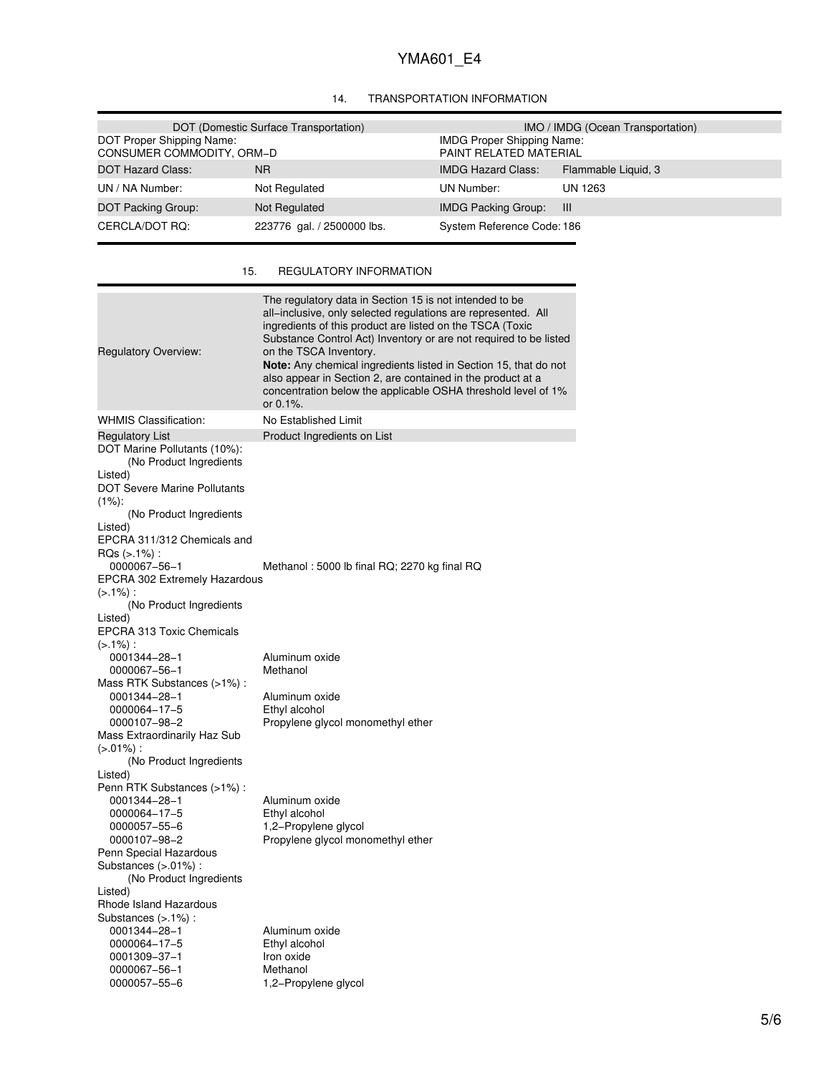## 14. TRANSPORTATION INFORMATION

|                                                        | DOT (Domestic Surface Transportation) |                                                             | IMO / IMDG (Ocean Transportation) |
|--------------------------------------------------------|---------------------------------------|-------------------------------------------------------------|-----------------------------------|
| DOT Proper Shipping Name:<br>CONSUMER COMMODITY, ORM-D |                                       | <b>IMDG Proper Shipping Name:</b><br>PAINT RELATED MATERIAL |                                   |
| DOT Hazard Class:                                      | N <sub>R</sub>                        | <b>IMDG Hazard Class:</b>                                   | Flammable Liquid, 3               |
| UN / NA Number:                                        | Not Regulated                         | UN Number:                                                  | UN 1263                           |
| DOT Packing Group:                                     | Not Regulated                         | <b>IMDG Packing Group:</b>                                  | - 111                             |
| CERCLA/DOT RQ:                                         | 223776 gal. / 2500000 lbs.            | System Reference Code: 186                                  |                                   |

## 15. REGULATORY INFORMATION

| <b>Regulatory Overview:</b>                                                                                                                                                                                                                                                                                                                                                                            | The regulatory data in Section 15 is not intended to be<br>all–inclusive, only selected regulations are represented. All<br>ingredients of this product are listed on the TSCA (Toxic<br>Substance Control Act) Inventory or are not required to be listed<br>on the TSCA Inventory.<br><b>Note:</b> Any chemical ingredients listed in Section 15, that do not<br>also appear in Section 2, are contained in the product at a<br>concentration below the applicable OSHA threshold level of 1%<br>or 0.1%. |
|--------------------------------------------------------------------------------------------------------------------------------------------------------------------------------------------------------------------------------------------------------------------------------------------------------------------------------------------------------------------------------------------------------|-------------------------------------------------------------------------------------------------------------------------------------------------------------------------------------------------------------------------------------------------------------------------------------------------------------------------------------------------------------------------------------------------------------------------------------------------------------------------------------------------------------|
| <b>WHMIS Classification:</b>                                                                                                                                                                                                                                                                                                                                                                           | No Established Limit                                                                                                                                                                                                                                                                                                                                                                                                                                                                                        |
| <b>Regulatory List</b><br>DOT Marine Pollutants (10%):<br>(No Product Ingredients<br>Listed)<br><b>DOT Severe Marine Pollutants</b><br>$(1%)$ :<br>(No Product Ingredients<br>Listed)<br>EPCRA 311/312 Chemicals and<br>$RQs (> .1\%)$ :<br>0000067-56-1<br><b>EPCRA 302 Extremely Hazardous</b><br>$(>1\%)$ :<br>(No Product Ingredients<br>Listed)<br><b>EPCRA 313 Toxic Chemicals</b><br>$(>1\%)$ : | Product Ingredients on List<br>Methanol: 5000 lb final RQ; 2270 kg final RQ                                                                                                                                                                                                                                                                                                                                                                                                                                 |
| 0001344-28-1                                                                                                                                                                                                                                                                                                                                                                                           | Aluminum oxide                                                                                                                                                                                                                                                                                                                                                                                                                                                                                              |
| 0000067-56-1                                                                                                                                                                                                                                                                                                                                                                                           | Methanol                                                                                                                                                                                                                                                                                                                                                                                                                                                                                                    |
| Mass RTK Substances (>1%):                                                                                                                                                                                                                                                                                                                                                                             |                                                                                                                                                                                                                                                                                                                                                                                                                                                                                                             |
| 0001344-28-1                                                                                                                                                                                                                                                                                                                                                                                           | Aluminum oxide                                                                                                                                                                                                                                                                                                                                                                                                                                                                                              |
| 0000064-17-5                                                                                                                                                                                                                                                                                                                                                                                           | Ethyl alcohol                                                                                                                                                                                                                                                                                                                                                                                                                                                                                               |
| 0000107-98-2                                                                                                                                                                                                                                                                                                                                                                                           | Propylene glycol monomethyl ether                                                                                                                                                                                                                                                                                                                                                                                                                                                                           |
| Mass Extraordinarily Haz Sub<br>$(>0.01\%)$ :                                                                                                                                                                                                                                                                                                                                                          |                                                                                                                                                                                                                                                                                                                                                                                                                                                                                                             |
| (No Product Ingredients                                                                                                                                                                                                                                                                                                                                                                                |                                                                                                                                                                                                                                                                                                                                                                                                                                                                                                             |
| Listed)<br>Penn RTK Substances (>1%) :<br>0001344-28-1<br>0000064-17-5<br>0000057-55-6<br>0000107-98-2<br>Penn Special Hazardous<br>Substances (>.01%) :<br>(No Product Ingredients<br>Listed)                                                                                                                                                                                                         | Aluminum oxide<br>Ethyl alcohol<br>1,2-Propylene glycol<br>Propylene glycol monomethyl ether                                                                                                                                                                                                                                                                                                                                                                                                                |
| Rhode Island Hazardous<br>Substances (>.1%) :<br>0001344-28-1<br>0000064-17-5<br>0001309-37-1<br>0000067-56-1<br>0000057-55-6                                                                                                                                                                                                                                                                          | Aluminum oxide<br>Ethyl alcohol<br>Iron oxide<br>Methanol<br>1,2-Propylene glycol                                                                                                                                                                                                                                                                                                                                                                                                                           |